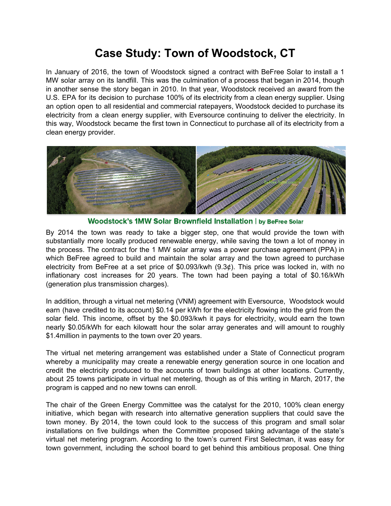## **Case Study: Town of Woodstock, CT**

In January of 2016, the town of Woodstock signed a contract with BeFree Solar to install a 1 MW solar array on its landfill. This was the culmination of a process that began in 2014, though in another sense the story began in 2010. In that year, Woodstock received an award from the U.S. EPA for its decision to purchase 100% of its electricity from a clean energy supplier. Using an option open to all residential and commercial ratepayers, Woodstock decided to purchase its electricity from a clean energy supplier, with Eversource continuing to deliver the electricity. In this way, Woodstock became the first town in Connecticut to purchase all of its electricity from a clean energy provider.



Woodstock's 1MW Solar Brownfield Installation | by BeFree Solar

By 2014 the town was ready to take a bigger step, one that would provide the town with substantially more locally produced renewable energy, while saving the town a lot of money in the process. The contract for the 1 MW solar array was a power purchase agreement (PPA) in which BeFree agreed to build and maintain the solar array and the town agreed to purchase electricity from BeFree at a set price of \$0.093/kwh (9.3¢). This price was locked in, with no inflationary cost increases for 20 years. The town had been paying a total of \$0.16/kWh (generation plus transmission charges).

In addition, through a virtual net metering (VNM) agreement with Eversource, Woodstock would earn (have credited to its account) \$0.14 per kWh for the electricity flowing into the grid from the solar field. This income, offset by the \$0.093/kwh it pays for electricity, would earn the town nearly \$0.05/kWh for each kilowatt hour the solar array generates and will amount to roughly \$1.4million in payments to the town over 20 years.

The virtual net metering arrangement was established under a State of Connecticut program whereby a municipality may create a renewable energy generation source in one location and credit the electricity produced to the accounts of town buildings at other locations. Currently, about 25 towns participate in virtual net metering, though as of this writing in March, 2017, the program is capped and no new towns can enroll.

The chair of the Green Energy Committee was the catalyst for the 2010, 100% clean energy initiative, which began with research into alternative generation suppliers that could save the town money. By 2014, the town could look to the success of this program and small solar installations on five buildings when the Committee proposed taking advantage of the state's virtual net metering program. According to the town's current First Selectman, it was easy for town government, including the school board to get behind this ambitious proposal. One thing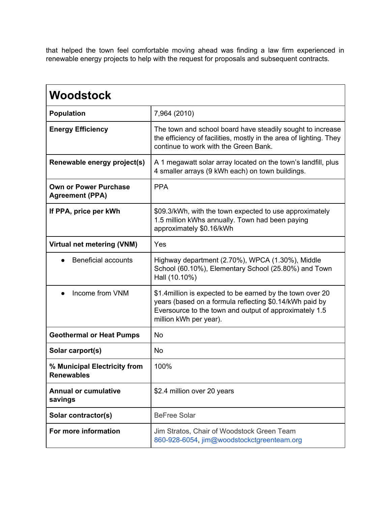that helped the town feel comfortable moving ahead was finding a law firm experienced in renewable energy projects to help with the request for proposals and subsequent contracts.

| <b>Woodstock</b>                                       |                                                                                                                                                                                                           |
|--------------------------------------------------------|-----------------------------------------------------------------------------------------------------------------------------------------------------------------------------------------------------------|
| <b>Population</b>                                      | 7,964 (2010)                                                                                                                                                                                              |
| <b>Energy Efficiency</b>                               | The town and school board have steadily sought to increase<br>the efficiency of facilities, mostly in the area of lighting. They<br>continue to work with the Green Bank.                                 |
| Renewable energy project(s)                            | A 1 megawatt solar array located on the town's landfill, plus<br>4 smaller arrays (9 kWh each) on town buildings.                                                                                         |
| <b>Own or Power Purchase</b><br><b>Agreement (PPA)</b> | <b>PPA</b>                                                                                                                                                                                                |
| If PPA, price per kWh                                  | \$09.3/kWh, with the town expected to use approximately<br>1.5 million kWhs annually. Town had been paying<br>approximately \$0.16/kWh                                                                    |
| Virtual net metering (VNM)                             | Yes                                                                                                                                                                                                       |
| <b>Beneficial accounts</b>                             | Highway department (2.70%), WPCA (1.30%), Middle<br>School (60.10%), Elementary School (25.80%) and Town<br>Hall (10.10%)                                                                                 |
| Income from VNM                                        | \$1.4 million is expected to be earned by the town over 20<br>years (based on a formula reflecting \$0.14/kWh paid by<br>Eversource to the town and output of approximately 1.5<br>million kWh per year). |
| <b>Geothermal or Heat Pumps</b>                        | <b>No</b>                                                                                                                                                                                                 |
| Solar carport(s)                                       | <b>No</b>                                                                                                                                                                                                 |
| % Municipal Electricity from<br><b>Renewables</b>      | 100%                                                                                                                                                                                                      |
| <b>Annual or cumulative</b><br>savings                 | \$2.4 million over 20 years                                                                                                                                                                               |
| Solar contractor(s)                                    | <b>BeFree Solar</b>                                                                                                                                                                                       |
| For more information                                   | Jim Stratos, Chair of Woodstock Green Team<br>860-928-6054, jim@woodstockctgreenteam.org                                                                                                                  |